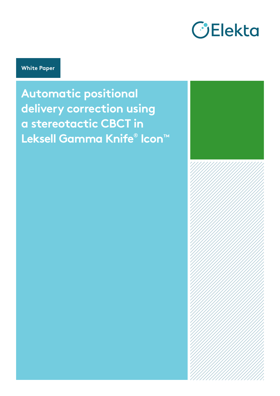

**White Paper**

**Automatic positional delivery correction using a stereotactic CBCT in Leksell Gamma Knife® Icon™**

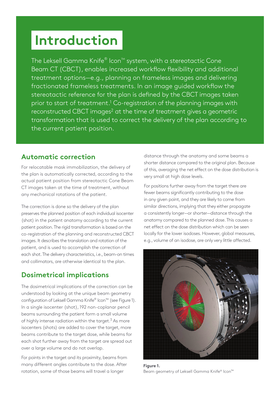# **Introduction**

The Leksell Gamma Knife $^\circ$  Icon™ system, with a stereotactic Cone Beam CT (CBCT), enables increased workflow flexibility and additional treatment options—e.g., planning on frameless images and delivering fractionated frameless treatments. In an image guided workflow the stereotactic reference for the plan is defined by the CBCT images taken prior to start of treatment.<sup>1</sup> Co-registration of the planning images with reconstructed CBCT images<sup>2</sup> at the time of treatment gives a geometric transformation that is used to correct the delivery of the plan according to the current patient position.

## **Automatic correction**

For relocatable mask immobilization, the delivery of the plan is automatically corrected, according to the actual patient position from stereotactic Cone Beam CT images taken at the time of treatment, without any mechanical rotations of the patient.

The correction is done so the delivery of the plan preserves the planned position of each individual isocenter (shot) in the patient anatomy according to the current patient position. The rigid transformation is based on the co-registration of the planning and reconstructed CBCT images. It describes the translation and rotation of the patient, and is used to accomplish the correction of each shot. The delivery characteristics, i.e., beam-on times and collimators, are otherwise identical to the plan.

## **Dosimetrical implications**

The dosimetrical implications of the correction can be understood by looking at the unique beam geometry configuration of Leksell Gamma Knife® Icon™ (see Figure 1). In a single isocenter (shot), 192 non-coplanar pencil beams surrounding the patient form a small volume of highly intense radiation within the target. $3$  As more isocenters (shots) are added to cover the target, more beams contribute to the target dose, while beams for each shot further away from the target are spread out over a large volume and do not overlap.

For points in the target and its proximity, beams from many different angles contribute to the dose. After rotation, some of those beams will travel a longer

distance through the anatomy and some beams a shorter distance compared to the original plan. Because of this, averaging the net effect on the dose distribution is very small at high dose levels.

For positions further away from the target there are fewer beams significantly contributing to the dose in any given point, and they are likely to come from similar directions, implying that they either propagate a consistently longer—or shorter—distance through the anatomy compared to the planned dose. This causes a net effect on the dose distribution which can be seen locally for the lower isodoses. However, global measures, e.g., volume of an isodose, are only very little affected.



**Figure 1.** Beam geometry of Leksell Gamma Knife® Icon™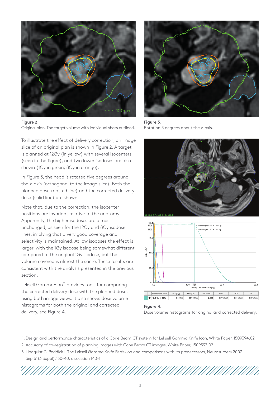

**Figure 2.**

Original plan. The target volume with individual shots outlined.

To illustrate the effect of delivery correction, an image slice of an original plan is shown in Figure 2. A target is planned at 12Gy (in yellow) with several isocenters (seen in the figure), and two lower isodoses are also shown (1Gy in green; 8Gy in orange).

In Figure 3, the head is rotated five degrees around the z-axis (orthogonal to the image slice). Both the planned dose (dotted line) and the corrected delivery dose (solid line) are shown.

Note that, due to the correction, the isocenter positions are invariant relative to the anatomy. Apparently, the higher isodoses are almost unchanged, as seen for the 12Gy and 8Gy isodose lines, implying that a very good coverage and selectivity is maintained. At low isodoses the effect is larger, with the 1Gy isodose being somewhat different compared to the original 1Gy isodose, but the volume covered is almost the same. These results are consistent with the analysis presented in the previous section.

Leksell GammaPlan® provides tools for comparing the corrected delivery dose with the planned dose, using both image views. It also shows dose volume histograms for both the original and corrected delivery, see Figure 4.



**Figure 3.** Rotation 5 degrees about the z-axis.





#### **Figure 4.**

Dose volume histograms for original and corrected delivery.

- 1. Design and performance characteristics of a Cone Beam CT system for Leksell Gamma Knife Icon, White Paper, 1509394.02
- 2. Accuracy of co-registration of planning images with Cone Beam CT images, White Paper, 1509393.02
- 3. Lindquist C, Paddick I. The Leksell Gamma Knife Perfexion and comparisons with its predecessors, Neurosurgery 2007 Sep;61(3 Suppl):130–40; discussion 140–1.